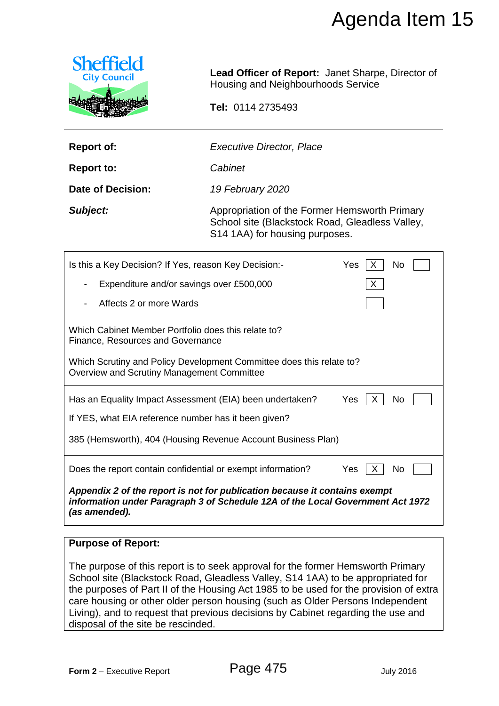

|                                                                                          |                                                                                                                                                                                                                                                                                                                                                                                                                                  | Agenda Item 15                                           |
|------------------------------------------------------------------------------------------|----------------------------------------------------------------------------------------------------------------------------------------------------------------------------------------------------------------------------------------------------------------------------------------------------------------------------------------------------------------------------------------------------------------------------------|----------------------------------------------------------|
| <b>Sheffield</b><br><b>City Council</b>                                                  | Housing and Neighbourhoods Service                                                                                                                                                                                                                                                                                                                                                                                               | <b>Lead Officer of Report: Janet Sharpe, Director of</b> |
|                                                                                          | Tel: 0114 2735493                                                                                                                                                                                                                                                                                                                                                                                                                |                                                          |
| <b>Report of:</b>                                                                        | <b>Executive Director, Place</b>                                                                                                                                                                                                                                                                                                                                                                                                 |                                                          |
| <b>Report to:</b>                                                                        | Cabinet                                                                                                                                                                                                                                                                                                                                                                                                                          |                                                          |
| <b>Date of Decision:</b>                                                                 | 19 February 2020                                                                                                                                                                                                                                                                                                                                                                                                                 |                                                          |
| Subject:                                                                                 | Appropriation of the Former Hemsworth Primary<br>School site (Blackstock Road, Gleadless Valley,<br>S14 1AA) for housing purposes.                                                                                                                                                                                                                                                                                               |                                                          |
| Is this a Key Decision? If Yes, reason Key Decision:-                                    |                                                                                                                                                                                                                                                                                                                                                                                                                                  | Yes<br>No<br>X                                           |
| Expenditure and/or savings over £500,000<br>х                                            |                                                                                                                                                                                                                                                                                                                                                                                                                                  |                                                          |
| Affects 2 or more Wards                                                                  |                                                                                                                                                                                                                                                                                                                                                                                                                                  |                                                          |
| Which Cabinet Member Portfolio does this relate to?<br>Finance, Resources and Governance |                                                                                                                                                                                                                                                                                                                                                                                                                                  |                                                          |
| Overview and Scrutiny Management Committee                                               | Which Scrutiny and Policy Development Committee does this relate to?                                                                                                                                                                                                                                                                                                                                                             |                                                          |
|                                                                                          | Has an Equality Impact Assessment (EIA) been undertaken?                                                                                                                                                                                                                                                                                                                                                                         | Yes<br>No                                                |
| If YES, what EIA reference number has it been given?                                     |                                                                                                                                                                                                                                                                                                                                                                                                                                  |                                                          |
|                                                                                          | 385 (Hemsworth), 404 (Housing Revenue Account Business Plan)                                                                                                                                                                                                                                                                                                                                                                     |                                                          |
|                                                                                          | Does the report contain confidential or exempt information?                                                                                                                                                                                                                                                                                                                                                                      | Yes<br>No<br>х                                           |
| (as amended).                                                                            | Appendix 2 of the report is not for publication because it contains exempt<br>information under Paragraph 3 of Schedule 12A of the Local Government Act 1972                                                                                                                                                                                                                                                                     |                                                          |
| <b>Purpose of Report:</b>                                                                |                                                                                                                                                                                                                                                                                                                                                                                                                                  |                                                          |
| disposal of the site be rescinded.                                                       | The purpose of this report is to seek approval for the former Hemsworth Primary<br>School site (Blackstock Road, Gleadless Valley, S14 1AA) to be appropriated for<br>the purposes of Part II of the Housing Act 1985 to be used for the provision of extra<br>care housing or other older person housing (such as Older Persons Independent<br>Living), and to request that previous decisions by Cabinet regarding the use and |                                                          |
|                                                                                          |                                                                                                                                                                                                                                                                                                                                                                                                                                  |                                                          |
| Form 2 - Executive Report                                                                | Page 475                                                                                                                                                                                                                                                                                                                                                                                                                         | <b>July 2016</b>                                         |

### **Purpose of Report:**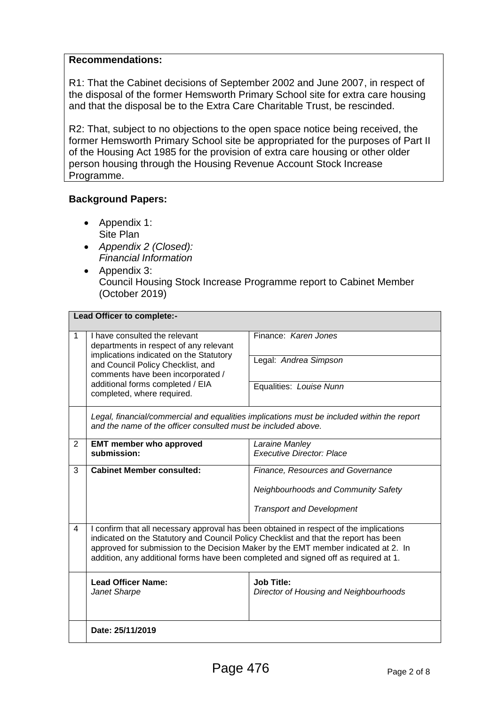### **Recommendations:**

R1: That the Cabinet decisions of September 2002 and June 2007, in respect of the disposal of the former Hemsworth Primary School site for extra care housing and that the disposal be to the Extra Care Charitable Trust, be rescinded.

R2: That, subject to no objections to the open space notice being received, the former Hemsworth Primary School site be appropriated for the purposes of Part II of the Housing Act 1985 for the provision of extra care housing or other older person housing through the Housing Revenue Account Stock Increase Programme.

## **Background Papers:**

- Appendix 1: Site Plan
- *Appendix 2 (Closed): Financial Information*
- Appendix 3: Council Housing Stock Increase Programme report to Cabinet Member (October 2019)

| Lead Officer to complete:- |                                                                                                                                                                                                                                                                                                                                                             |                                                             |  |
|----------------------------|-------------------------------------------------------------------------------------------------------------------------------------------------------------------------------------------------------------------------------------------------------------------------------------------------------------------------------------------------------------|-------------------------------------------------------------|--|
| 1                          | I have consulted the relevant<br>departments in respect of any relevant<br>implications indicated on the Statutory                                                                                                                                                                                                                                          | Finance: Karen Jones                                        |  |
|                            | and Council Policy Checklist, and<br>comments have been incorporated /                                                                                                                                                                                                                                                                                      | Legal: Andrea Simpson                                       |  |
|                            | additional forms completed / EIA<br>completed, where required.                                                                                                                                                                                                                                                                                              | Equalities: Louise Nunn                                     |  |
|                            | Legal, financial/commercial and equalities implications must be included within the report<br>and the name of the officer consulted must be included above.                                                                                                                                                                                                 |                                                             |  |
| 2                          | <b>EMT member who approved</b>                                                                                                                                                                                                                                                                                                                              | Laraine Manley                                              |  |
|                            | submission:                                                                                                                                                                                                                                                                                                                                                 | <b>Executive Director: Place</b>                            |  |
| 3                          | <b>Cabinet Member consulted:</b>                                                                                                                                                                                                                                                                                                                            | Finance, Resources and Governance                           |  |
|                            |                                                                                                                                                                                                                                                                                                                                                             | <b>Neighbourhoods and Community Safety</b>                  |  |
|                            |                                                                                                                                                                                                                                                                                                                                                             | <b>Transport and Development</b>                            |  |
| $\overline{4}$             | I confirm that all necessary approval has been obtained in respect of the implications<br>indicated on the Statutory and Council Policy Checklist and that the report has been<br>approved for submission to the Decision Maker by the EMT member indicated at 2. In<br>addition, any additional forms have been completed and signed off as required at 1. |                                                             |  |
|                            | <b>Lead Officer Name:</b><br>Janet Sharpe                                                                                                                                                                                                                                                                                                                   | <b>Job Title:</b><br>Director of Housing and Neighbourhoods |  |
|                            | Date: 25/11/2019                                                                                                                                                                                                                                                                                                                                            |                                                             |  |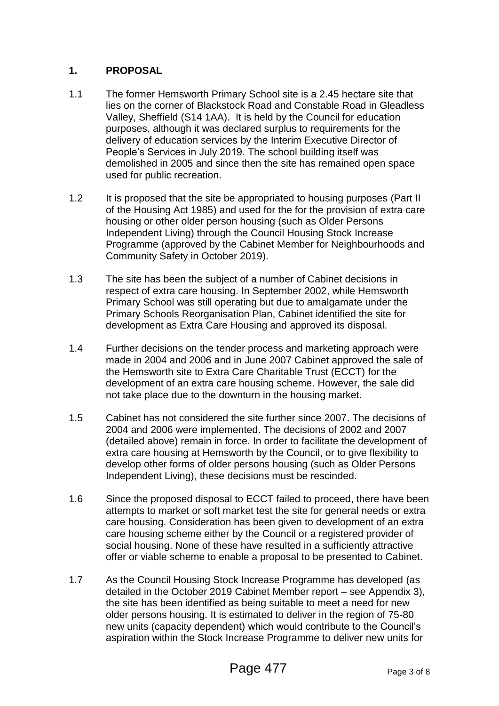# **1. PROPOSAL**

- 1.1 The former Hemsworth Primary School site is a 2.45 hectare site that lies on the corner of Blackstock Road and Constable Road in Gleadless Valley, Sheffield (S14 1AA). It is held by the Council for education purposes, although it was declared surplus to requirements for the delivery of education services by the Interim Executive Director of People's Services in July 2019. The school building itself was demolished in 2005 and since then the site has remained open space used for public recreation.
- 1.2 It is proposed that the site be appropriated to housing purposes (Part II of the Housing Act 1985) and used for the for the provision of extra care housing or other older person housing (such as Older Persons Independent Living) through the Council Housing Stock Increase Programme (approved by the Cabinet Member for Neighbourhoods and Community Safety in October 2019).
- 1.3 The site has been the subject of a number of Cabinet decisions in respect of extra care housing. In September 2002, while Hemsworth Primary School was still operating but due to amalgamate under the Primary Schools Reorganisation Plan, Cabinet identified the site for development as Extra Care Housing and approved its disposal.
- 1.4 Further decisions on the tender process and marketing approach were made in 2004 and 2006 and in June 2007 Cabinet approved the sale of the Hemsworth site to Extra Care Charitable Trust (ECCT) for the development of an extra care housing scheme. However, the sale did not take place due to the downturn in the housing market.
- 1.5 Cabinet has not considered the site further since 2007. The decisions of 2004 and 2006 were implemented. The decisions of 2002 and 2007 (detailed above) remain in force. In order to facilitate the development of extra care housing at Hemsworth by the Council, or to give flexibility to develop other forms of older persons housing (such as Older Persons Independent Living), these decisions must be rescinded.
- 1.6 Since the proposed disposal to ECCT failed to proceed, there have been attempts to market or soft market test the site for general needs or extra care housing. Consideration has been given to development of an extra care housing scheme either by the Council or a registered provider of social housing. None of these have resulted in a sufficiently attractive offer or viable scheme to enable a proposal to be presented to Cabinet.
- 1.7 As the Council Housing Stock Increase Programme has developed (as detailed in the October 2019 Cabinet Member report – see Appendix 3), the site has been identified as being suitable to meet a need for new older persons housing. It is estimated to deliver in the region of 75-80 new units (capacity dependent) which would contribute to the Council's aspiration within the Stock Increase Programme to deliver new units for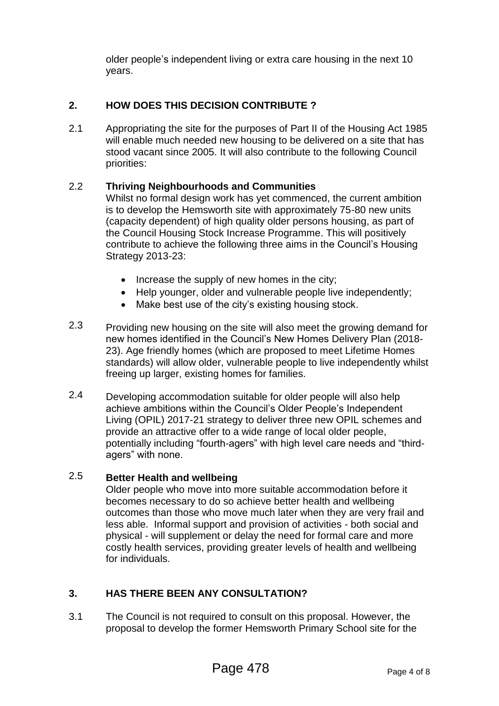older people's independent living or extra care housing in the next 10 years.

# **2. HOW DOES THIS DECISION CONTRIBUTE ?**

2.1 Appropriating the site for the purposes of Part II of the Housing Act 1985 will enable much needed new housing to be delivered on a site that has stood vacant since 2005. It will also contribute to the following Council priorities:

#### 2.2 **Thriving Neighbourhoods and Communities**

Whilst no formal design work has yet commenced, the current ambition is to develop the Hemsworth site with approximately 75-80 new units (capacity dependent) of high quality older persons housing, as part of the Council Housing Stock Increase Programme. This will positively contribute to achieve the following three aims in the Council's Housing Strategy 2013-23:

- $\bullet$  Increase the supply of new homes in the city;
- Help younger, older and vulnerable people live independently;
- Make best use of the city's existing housing stock.
- 2.3 Providing new housing on the site will also meet the growing demand for new homes identified in the Council's New Homes Delivery Plan (2018- 23). Age friendly homes (which are proposed to meet Lifetime Homes standards) will allow older, vulnerable people to live independently whilst freeing up larger, existing homes for families.
- 2.4 Developing accommodation suitable for older people will also help achieve ambitions within the Council's Older People's Independent Living (OPIL) 2017-21 strategy to deliver three new OPIL schemes and provide an attractive offer to a wide range of local older people, potentially including "fourth-agers" with high level care needs and "thirdagers" with none.

#### 2.5 **Better Health and wellbeing**

Older people who move into more suitable accommodation before it becomes necessary to do so achieve better health and wellbeing outcomes than those who move much later when they are very frail and less able. Informal support and provision of activities - both social and physical - will supplement or delay the need for formal care and more costly health services, providing greater levels of health and wellbeing for individuals.

# **3. HAS THERE BEEN ANY CONSULTATION?**

3.1 The Council is not required to consult on this proposal. However, the proposal to develop the former Hemsworth Primary School site for the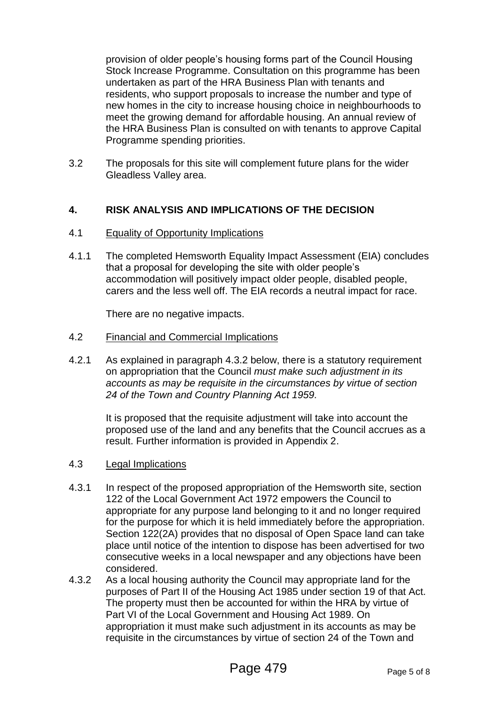provision of older people's housing forms part of the Council Housing Stock Increase Programme. Consultation on this programme has been undertaken as part of the HRA Business Plan with tenants and residents, who support proposals to increase the number and type of new homes in the city to increase housing choice in neighbourhoods to meet the growing demand for affordable housing. An annual review of the HRA Business Plan is consulted on with tenants to approve Capital Programme spending priorities.

3.2 The proposals for this site will complement future plans for the wider Gleadless Valley area.

## **4. RISK ANALYSIS AND IMPLICATIONS OF THE DECISION**

- 4.1 Equality of Opportunity Implications
- 4.1.1 The completed Hemsworth Equality Impact Assessment (EIA) concludes that a proposal for developing the site with older people's accommodation will positively impact older people, disabled people, carers and the less well off. The EIA records a neutral impact for race.

There are no negative impacts.

- 4.2 Financial and Commercial Implications
- 4.2.1 As explained in paragraph 4.3.2 below, there is a statutory requirement on appropriation that the Council *must make such adjustment in its accounts as may be requisite in the circumstances by virtue of section 24 of the Town and Country Planning Act 1959.*

It is proposed that the requisite adjustment will take into account the proposed use of the land and any benefits that the Council accrues as a result. Further information is provided in Appendix 2.

- 4.3 Legal Implications
- 4.3.1 In respect of the proposed appropriation of the Hemsworth site, section 122 of the Local Government Act 1972 empowers the Council to appropriate for any purpose land belonging to it and no longer required for the purpose for which it is held immediately before the appropriation. Section 122(2A) provides that no disposal of Open Space land can take place until notice of the intention to dispose has been advertised for two consecutive weeks in a local newspaper and any objections have been considered.
- 4.3.2 As a local housing authority the Council may appropriate land for the purposes of Part II of the Housing Act 1985 under section 19 of that Act. The property must then be accounted for within the HRA by virtue of Part VI of the Local Government and Housing Act 1989. On appropriation it must make such adjustment in its accounts as may be requisite in the circumstances by virtue of section 24 of the Town and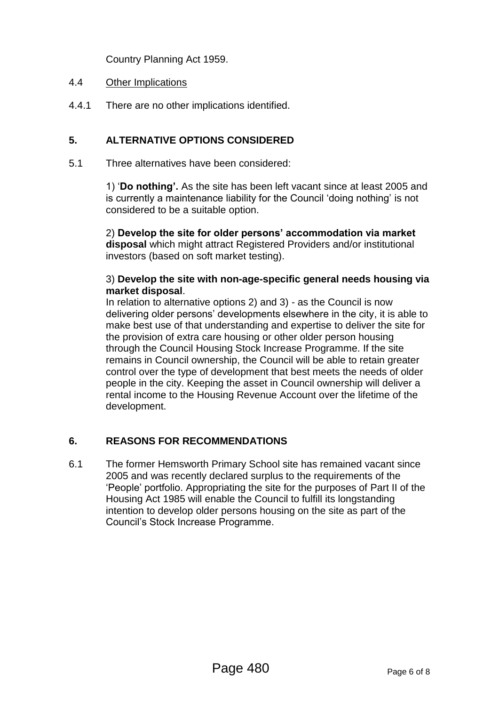Country Planning Act 1959.

### 4.4 Other Implications

4.4.1 There are no other implications identified.

# **5. ALTERNATIVE OPTIONS CONSIDERED**

5.1 Three alternatives have been considered:

1) '**Do nothing'.** As the site has been left vacant since at least 2005 and is currently a maintenance liability for the Council 'doing nothing' is not considered to be a suitable option.

2) **Develop the site for older persons' accommodation via market disposal** which might attract Registered Providers and/or institutional investors (based on soft market testing).

### 3) **Develop the site with non-age-specific general needs housing via market disposal**.

In relation to alternative options 2) and 3) - as the Council is now delivering older persons' developments elsewhere in the city, it is able to make best use of that understanding and expertise to deliver the site for the provision of extra care housing or other older person housing through the Council Housing Stock Increase Programme. If the site remains in Council ownership, the Council will be able to retain greater control over the type of development that best meets the needs of older people in the city. Keeping the asset in Council ownership will deliver a rental income to the Housing Revenue Account over the lifetime of the development.

# **6. REASONS FOR RECOMMENDATIONS**

6.1 The former Hemsworth Primary School site has remained vacant since 2005 and was recently declared surplus to the requirements of the 'People' portfolio. Appropriating the site for the purposes of Part II of the Housing Act 1985 will enable the Council to fulfill its longstanding intention to develop older persons housing on the site as part of the Council's Stock Increase Programme.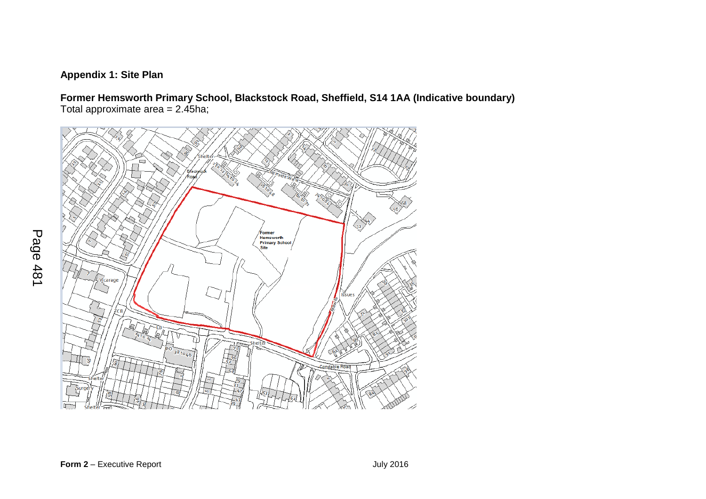# **Appendix 1: Site Plan**

**Former Hemsworth Primary School, Blackstock Road, Sheffield, S14 1AA (Indicative boundary)** Total approximate area = 2.45ha;